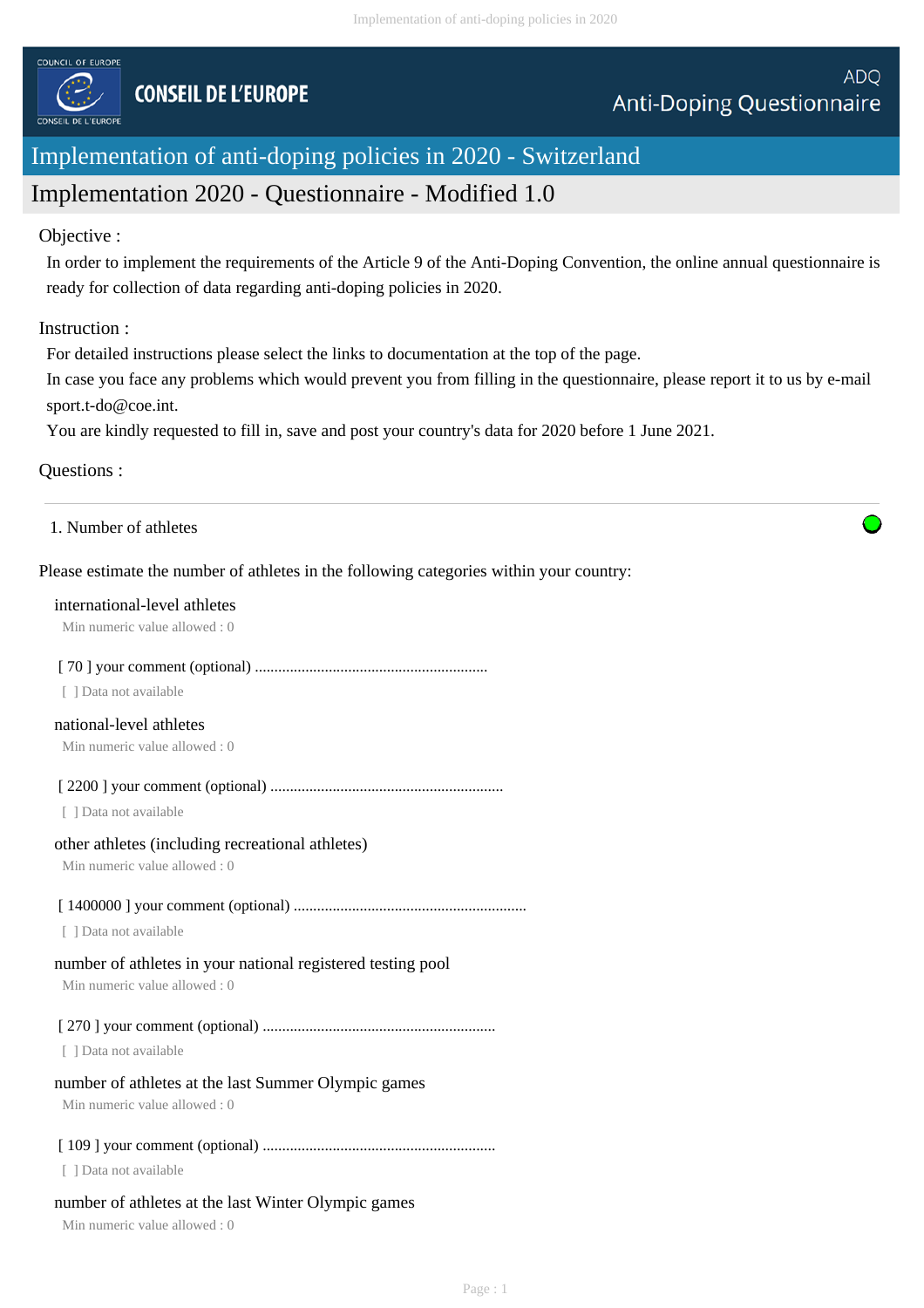

# Implementation of anti-doping policies in 2020 - Switzerland

## Implementation 2020 - Questionnaire - Modified 1.0

#### Objective :

In order to implement the requirements of the Article 9 of the Anti-Doping Convention, the online annual questionnaire is ready for collection of data regarding anti-doping policies in 2020.

## Instruction :

For detailed instructions please select the links to documentation at the top of the page.

In case you face any problems which would prevent you from filling in the questionnaire, please report it to us by e-mail sport.t-do@coe.int.

You are kindly requested to fill in, save and post your country's data for 2020 before 1 June 2021.

## Questions :

1. Number of athletes

## Please estimate the number of athletes in the following categories within your country:

#### international-level athletes

Min numeric value allowed : 0

## [ 70 ] your comment (optional) ............................................................

[ ] Data not available

## national-level athletes

Min numeric value allowed : 0

[ 2200 ] your comment (optional) ............................................................

[ ] Data not available

#### other athletes (including recreational athletes)

Min numeric value allowed : 0

## [ 1400000 ] your comment (optional) ............................................................

[ ] Data not available

## number of athletes in your national registered testing pool

Min numeric value allowed : 0

## [ 270 ] your comment (optional) ............................................................

[ ] Data not available

## number of athletes at the last Summer Olympic games

Min numeric value allowed : 0

## [ 109 ] your comment (optional) ............................................................

[ ] Data not available

## number of athletes at the last Winter Olympic games

Min numeric value allowed : 0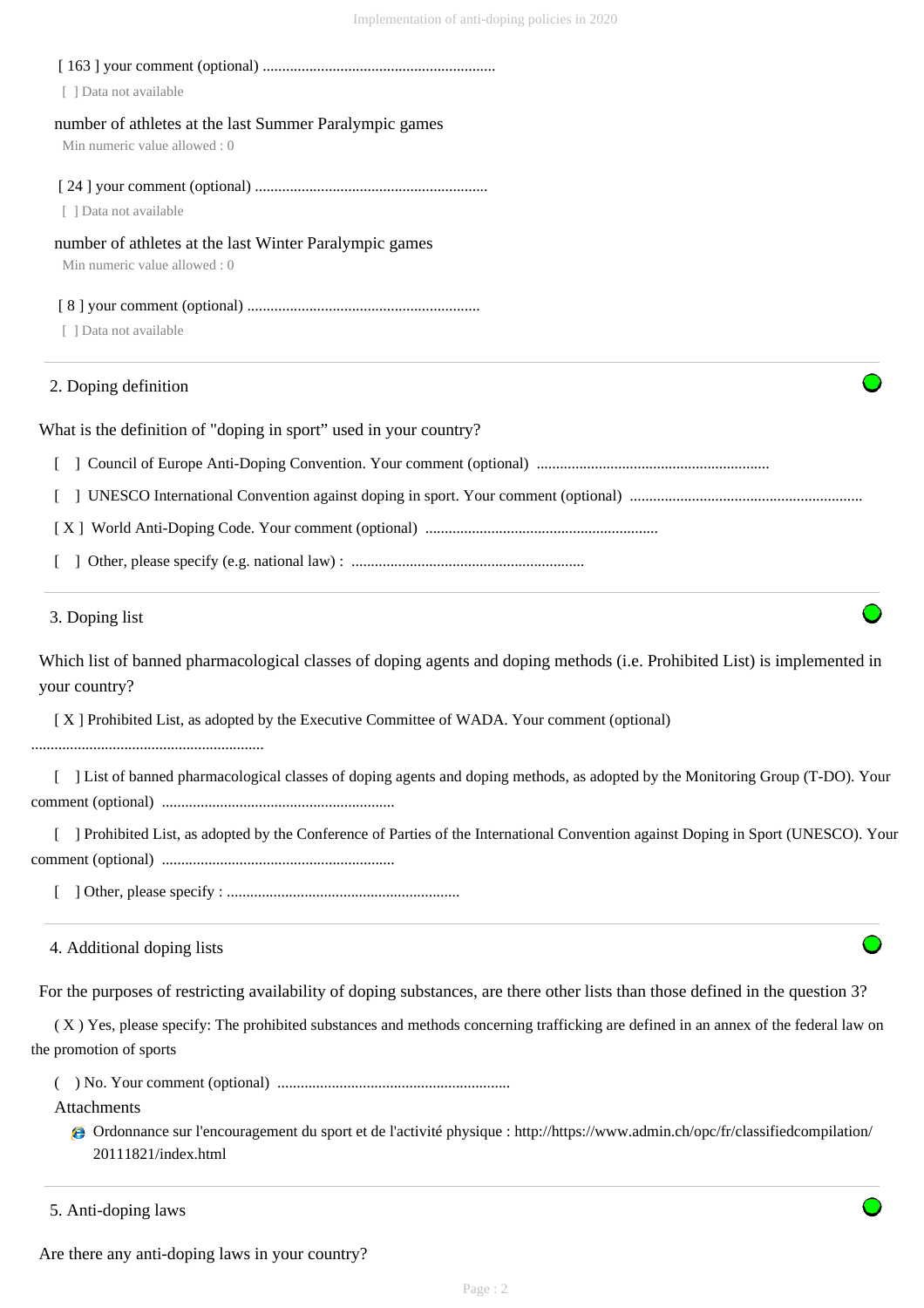| [ ] Data not available                                                                 |
|----------------------------------------------------------------------------------------|
| number of athletes at the last Summer Paralympic games<br>Min numeric value allowed: 0 |
| [ ] Data not available                                                                 |
| number of athletes at the last Winter Paralympic games<br>Min numeric value allowed: 0 |
| [ ] Data not available                                                                 |
| 2. Doping definition                                                                   |
| What is the definition of "doping in sport" used in your country?                      |
|                                                                                        |
|                                                                                        |
|                                                                                        |
|                                                                                        |

#### 3. Doping list

Which list of banned pharmacological classes of doping agents and doping methods (i.e. Prohibited List) is implemented in your country?

[ X ] Prohibited List, as adopted by the Executive Committee of WADA. Your comment (optional)

............................................................

 [ ] List of banned pharmacological classes of doping agents and doping methods, as adopted by the Monitoring Group (T-DO). Your comment (optional) ............................................................

[ ] Prohibited List, as adopted by the Conference of Parties of the International Convention against Doping in Sport (UNESCO). Your comment (optional) ............................................................

[ ] Other, please specify : ............................................................

4. Additional doping lists

For the purposes of restricting availability of doping substances, are there other lists than those defined in the question 3?

 ( X ) Yes, please specify: The prohibited substances and methods concerning trafficking are defined in an annex of the federal law on the promotion of sports

( ) No. Your comment (optional) ............................................................

Attachments

Ordonnance sur l'encouragement du sport et de l'activité physique : http://https://www.admin.ch/opc/fr/classifiedcompilation/ 20111821/index.html

```
5. Anti-doping laws
```
Are there any anti-doping laws in your country?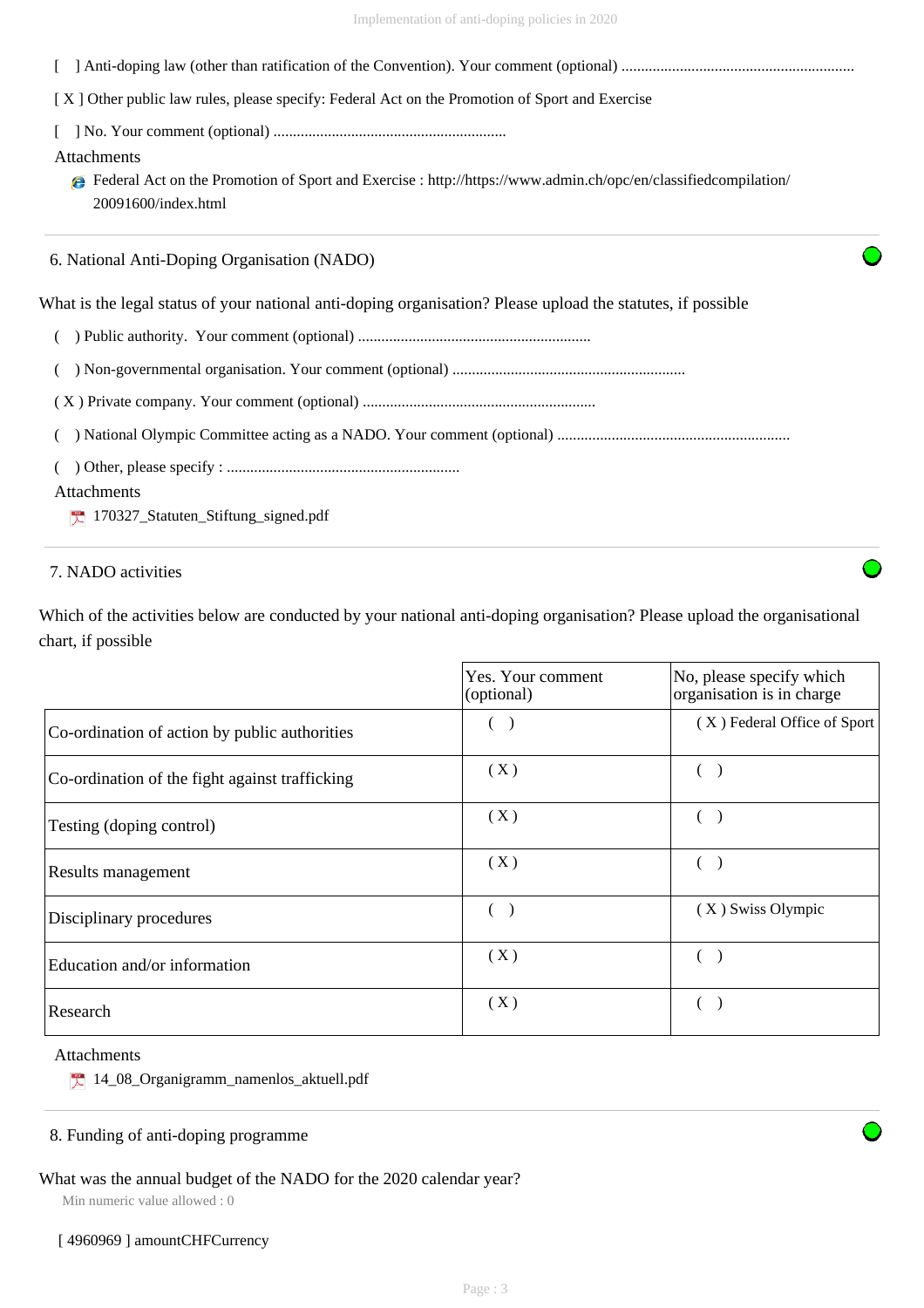| [X] Other public law rules, please specify: Federal Act on the Promotion of Sport and Exercise                                                             |  |
|------------------------------------------------------------------------------------------------------------------------------------------------------------|--|
|                                                                                                                                                            |  |
| Attachments                                                                                                                                                |  |
| <b>●</b> Federal Act on the Promotion of Sport and Exercise : http://https://www.admin.ch/opc/en/classifiedcompilation/<br>$20091600$ /index.html          |  |
| 6. National Anti-Doping Organisation (NADO)<br>What is the legal status of your national anti-doping organisation? Please upload the statutes, if possible |  |
|                                                                                                                                                            |  |
|                                                                                                                                                            |  |
|                                                                                                                                                            |  |
|                                                                                                                                                            |  |
|                                                                                                                                                            |  |
|                                                                                                                                                            |  |
|                                                                                                                                                            |  |

#### Attachments

170327\_Statuten\_Stiftung\_signed.pdf

## 7. NADO activities

Which of the activities below are conducted by your national anti-doping organisation? Please upload the organisational chart, if possible

|                                                | Yes. Your comment<br>(optional) | No, please specify which<br>organisation is in charge |
|------------------------------------------------|---------------------------------|-------------------------------------------------------|
| Co-ordination of action by public authorities  |                                 | (X) Federal Office of Sport                           |
| Co-ordination of the fight against trafficking | (X)                             |                                                       |
| Testing (doping control)                       | (X)                             |                                                       |
| Results management                             | (X)                             |                                                       |
| Disciplinary procedures                        |                                 | (X) Swiss Olympic                                     |
| Education and/or information                   | (X)                             |                                                       |
| Research                                       | (X)                             |                                                       |

## Attachments

14\_08\_Organigramm\_namenlos\_aktuell.pdf

#### 8. Funding of anti-doping programme

## What was the annual budget of the NADO for the 2020 calendar year?

Min numeric value allowed : 0

#### [4960969] amountCHFCurrency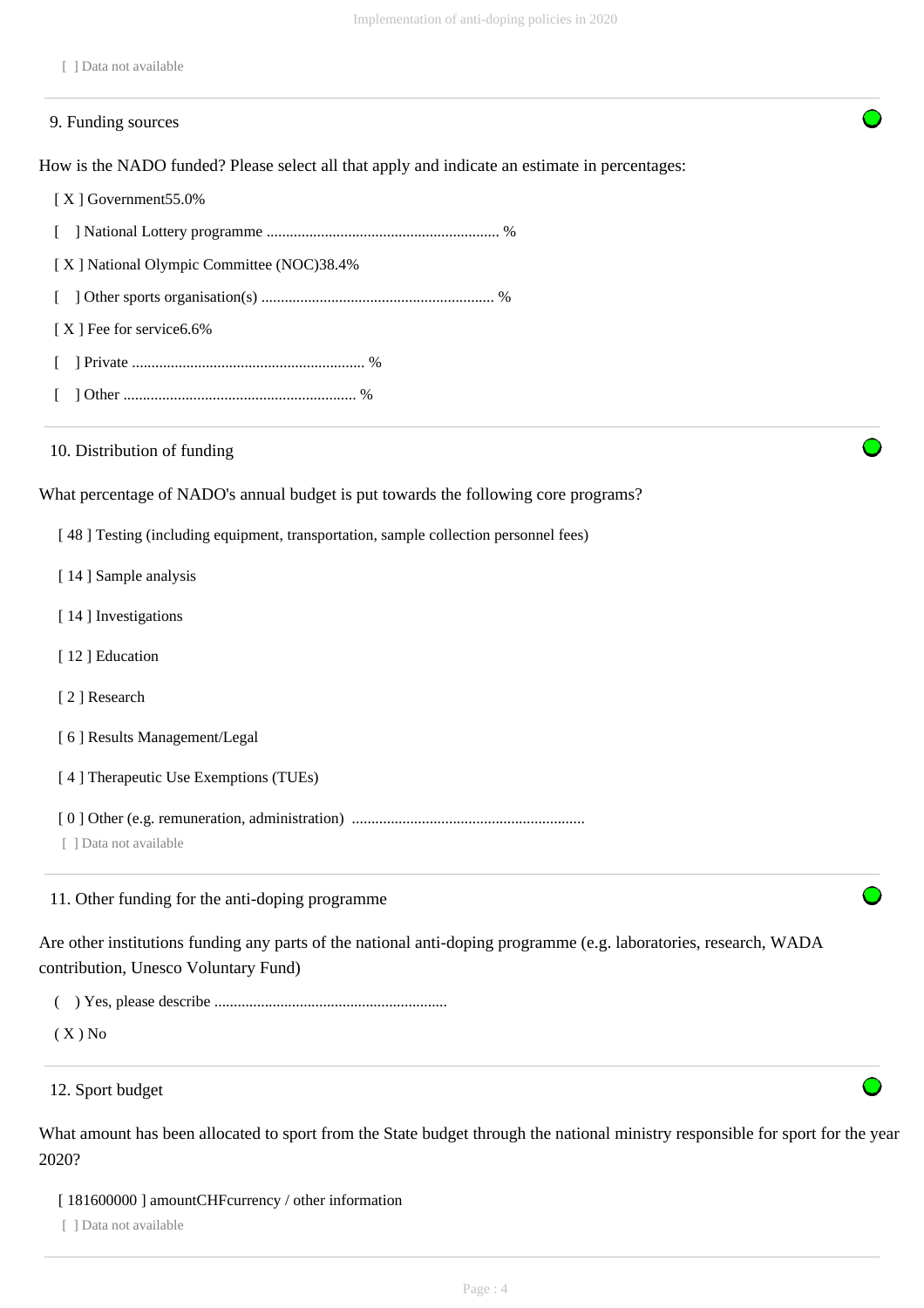|  |  |  | 1 Data not available |
|--|--|--|----------------------|
|--|--|--|----------------------|

# How is the NADO funded? Please select all that apply and indicate an estimate in percentages: [ X ] Government55.0% [ ] National Lottery programme ............................................................ % [ X ] National Olympic Committee (NOC)38.4% [ ] Other sports organisation(s) ............................................................ % [X ] Fee for service 6.6% [ ] Private ............................................................ % [ ] Other ............................................................ % What percentage of NADO's annual budget is put towards the following core programs? [ 48 ] Testing (including equipment, transportation, sample collection personnel fees) [ 14 ] Sample analysis [14] Investigations [12] Education [ 2 ] Research [ 6 ] Results Management/Legal [ 4 ] Therapeutic Use Exemptions (TUEs) [ 0 ] Other (e.g. remuneration, administration) ............................................................ [ ] Data not available Are other institutions funding any parts of the national anti-doping programme (e.g. laboratories, research, WADA contribution, Unesco Voluntary Fund) ( ) Yes, please describe ............................................................  $(X)$  No 9. Funding sources 10. Distribution of funding 11. Other funding for the anti-doping programme 12. Sport budget

What amount has been allocated to sport from the State budget through the national ministry responsible for sport for the year 2020?

[ 181600000 ] amountCHFcurrency / other information

[ ] Data not available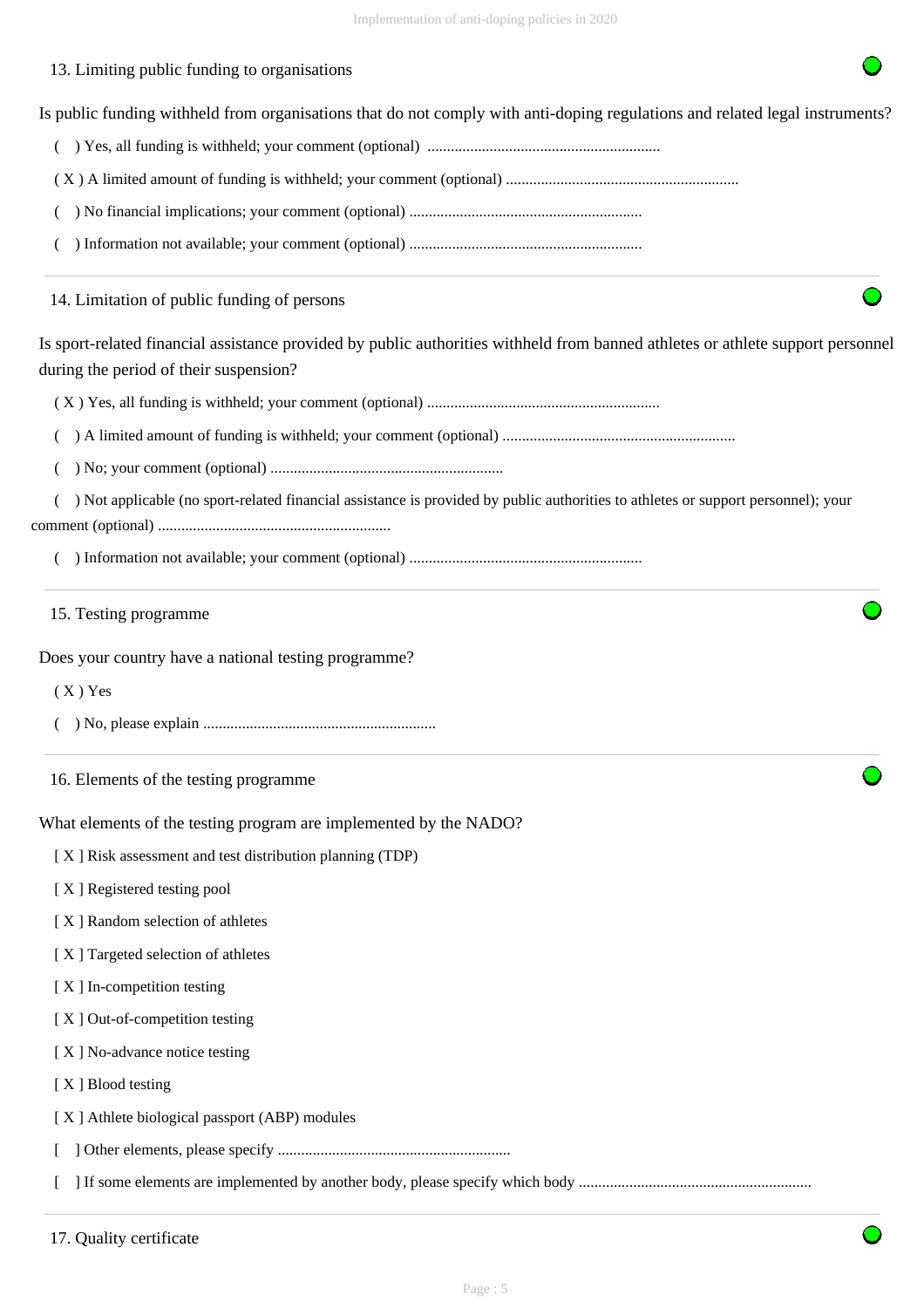## 13. Limiting public funding to organisations

Is public funding withheld from organisations that do not comply with anti-doping regulations and related legal instruments?

( ) Yes, all funding is withheld; your comment (optional) ............................................................

( X ) A limited amount of funding is withheld; your comment (optional) ............................................................

( ) No financial implications; your comment (optional) ............................................................

( ) Information not available; your comment (optional) ............................................................

14. Limitation of public funding of persons

Is sport-related financial assistance provided by public authorities withheld from banned athletes or athlete support personnel during the period of their suspension?

( X ) Yes, all funding is withheld; your comment (optional) ............................................................

( ) A limited amount of funding is withheld; your comment (optional) ............................................................

( ) No; your comment (optional) ............................................................

 ( ) Not applicable (no sport-related financial assistance is provided by public authorities to athletes or support personnel); your comment (optional) ............................................................

( ) Information not available; your comment (optional) ............................................................

15. Testing programme

Does your country have a national testing programme?

( X ) Yes

- ( ) No, please explain ............................................................
- 16. Elements of the testing programme

What elements of the testing program are implemented by the NADO?

[ X ] Risk assessment and test distribution planning (TDP)

- [ X ] Registered testing pool
- [ X ] Random selection of athletes
- [ X ] Targeted selection of athletes
- [ X ] In-competition testing
- [X] Out-of-competition testing
- [X] No-advance notice testing
- [X ] Blood testing
- [ X ] Athlete biological passport (ABP) modules

[ ] Other elements, please specify ............................................................

[ ] If some elements are implemented by another body, please specify which body ............................................................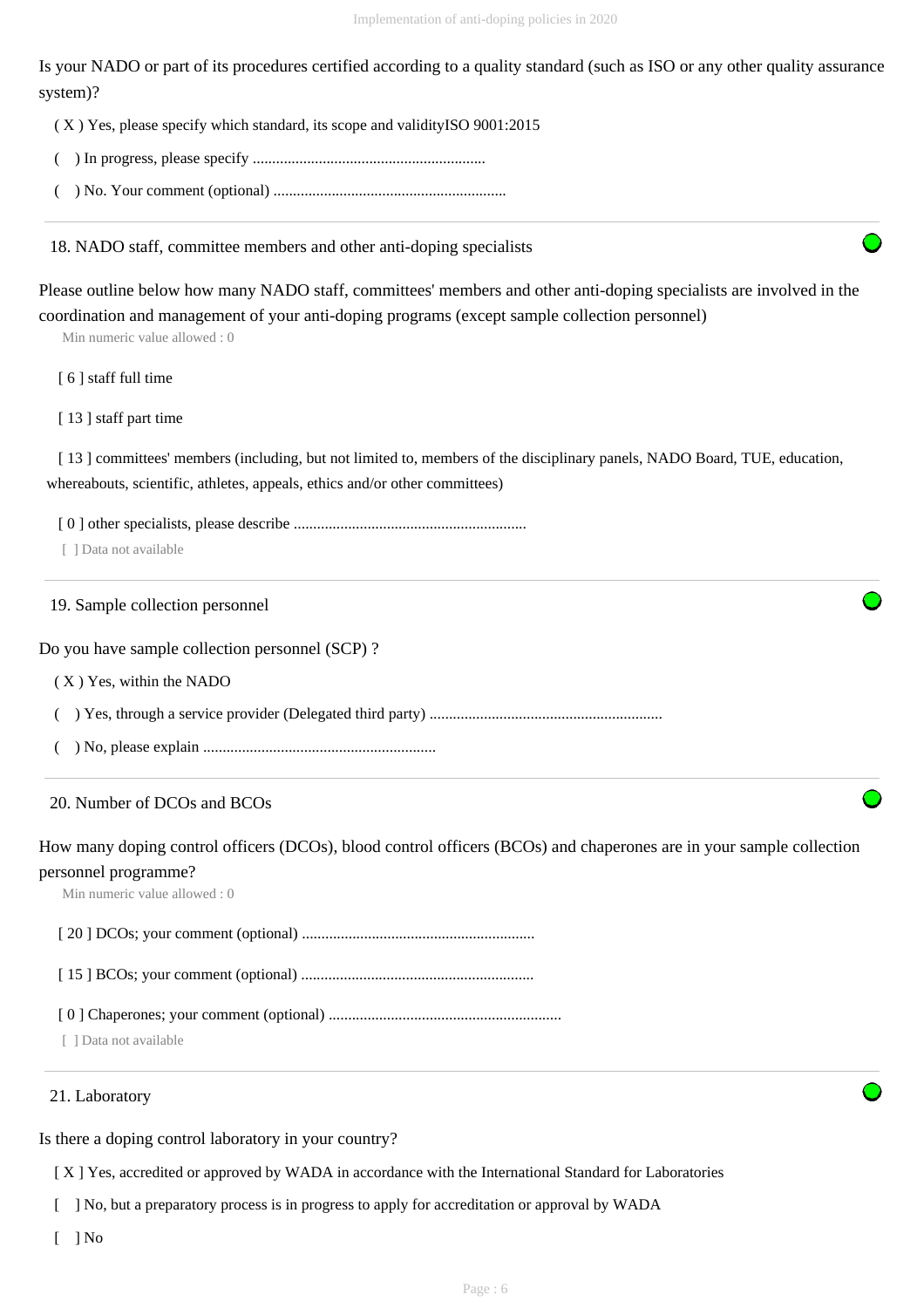Is your NADO or part of its procedures certified according to a quality standard (such as ISO or any other quality assurance system)?

( X ) Yes, please specify which standard, its scope and validityISO 9001:2015

- ( ) In progress, please specify ............................................................
- ( ) No. Your comment (optional) ............................................................

18. NADO staff, committee members and other anti-doping specialists

Please outline below how many NADO staff, committees' members and other anti-doping specialists are involved in the coordination and management of your anti-doping programs (except sample collection personnel)

Min numeric value allowed : 0

[ 6 ] staff full time

[ 13 ] staff part time

[13] committees' members (including, but not limited to, members of the disciplinary panels, NADO Board, TUE, education, whereabouts, scientific, athletes, appeals, ethics and/or other committees)

[ 0 ] other specialists, please describe ............................................................

[ ] Data not available

19. Sample collection personnel

Do you have sample collection personnel (SCP) ?

( X ) Yes, within the NADO

( ) Yes, through a service provider (Delegated third party) ............................................................

( ) No, please explain ............................................................

#### 20. Number of DCOs and BCOs

How many doping control officers (DCOs), blood control officers (BCOs) and chaperones are in your sample collection

## personnel programme?

Min numeric value allowed : 0

[ 20 ] DCOs; your comment (optional) ............................................................

[ 15 ] BCOs; your comment (optional) ............................................................

[ 0 ] Chaperones; your comment (optional) ............................................................

[ ] Data not available

#### 21. Laboratory

Is there a doping control laboratory in your country?

[ X ] Yes, accredited or approved by WADA in accordance with the International Standard for Laboratories

[ ] No, but a preparatory process is in progress to apply for accreditation or approval by WADA

 $\lceil$  | No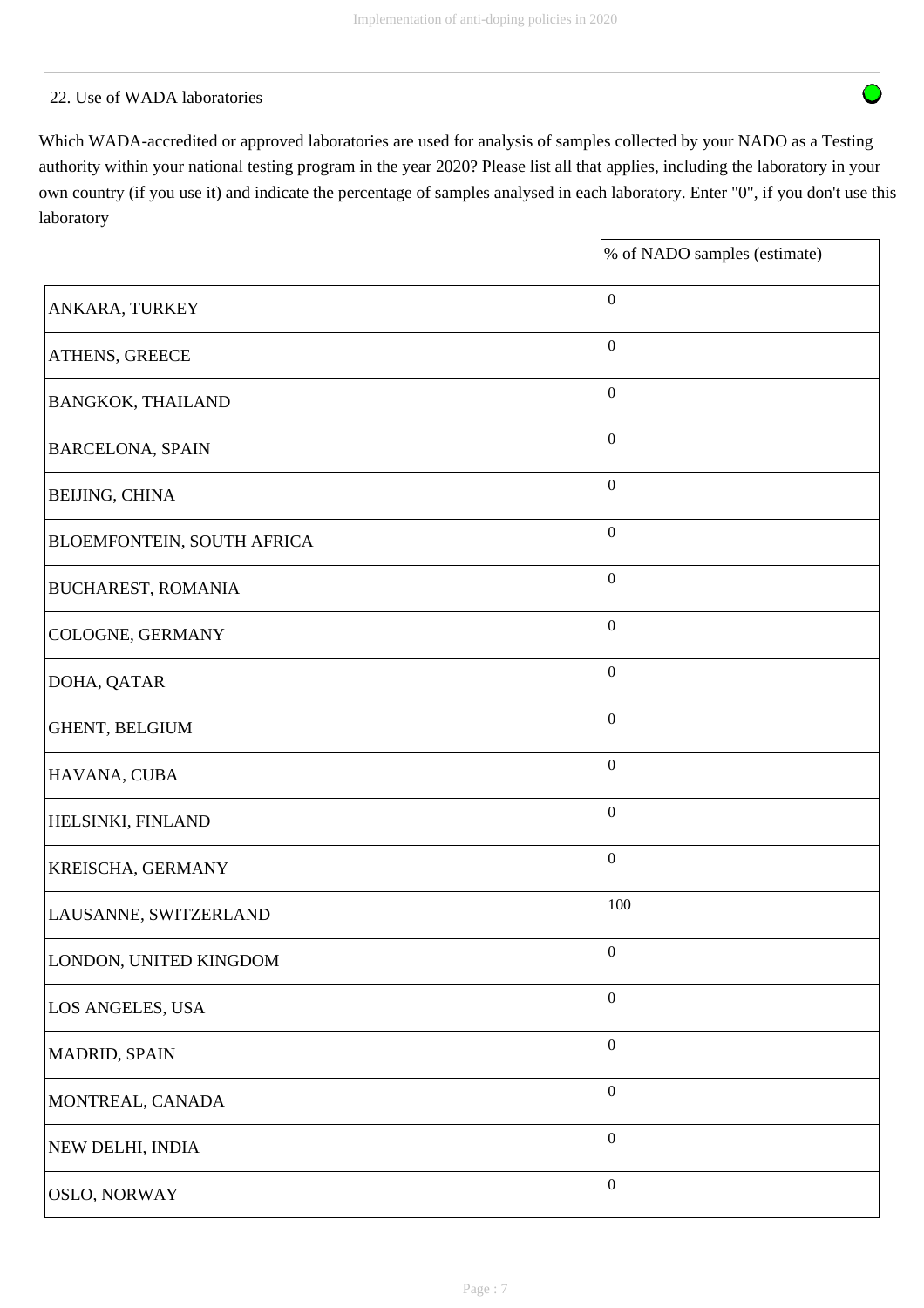## 22. Use of WADA laboratories

Which WADA-accredited or approved laboratories are used for analysis of samples collected by your NADO as a Testing authority within your national testing program in the year 2020? Please list all that applies, including the laboratory in your own country (if you use it) and indicate the percentage of samples analysed in each laboratory. Enter "0", if you don't use this laboratory

|                            | % of NADO samples (estimate) |
|----------------------------|------------------------------|
| ANKARA, TURKEY             | $\boldsymbol{0}$             |
| ATHENS, GREECE             | $\boldsymbol{0}$             |
| <b>BANGKOK, THAILAND</b>   | $\boldsymbol{0}$             |
| <b>BARCELONA, SPAIN</b>    | $\boldsymbol{0}$             |
| <b>BEIJING, CHINA</b>      | $\boldsymbol{0}$             |
| BLOEMFONTEIN, SOUTH AFRICA | $\boldsymbol{0}$             |
| <b>BUCHAREST, ROMANIA</b>  | $\boldsymbol{0}$             |
| COLOGNE, GERMANY           | $\boldsymbol{0}$             |
| DOHA, QATAR                | $\boldsymbol{0}$             |
| GHENT, BELGIUM             | $\boldsymbol{0}$             |
| HAVANA, CUBA               | $\boldsymbol{0}$             |
| HELSINKI, FINLAND          | $\boldsymbol{0}$             |
| KREISCHA, GERMANY          | $\boldsymbol{0}$             |
| LAUSANNE, SWITZERLAND      | 100                          |
| LONDON, UNITED KINGDOM     | $\boldsymbol{0}$             |
| LOS ANGELES, USA           | $\boldsymbol{0}$             |
| MADRID, SPAIN              | $\boldsymbol{0}$             |
| MONTREAL, CANADA           | $\boldsymbol{0}$             |
| NEW DELHI, INDIA           | $\boldsymbol{0}$             |
| <b>OSLO, NORWAY</b>        | $\boldsymbol{0}$             |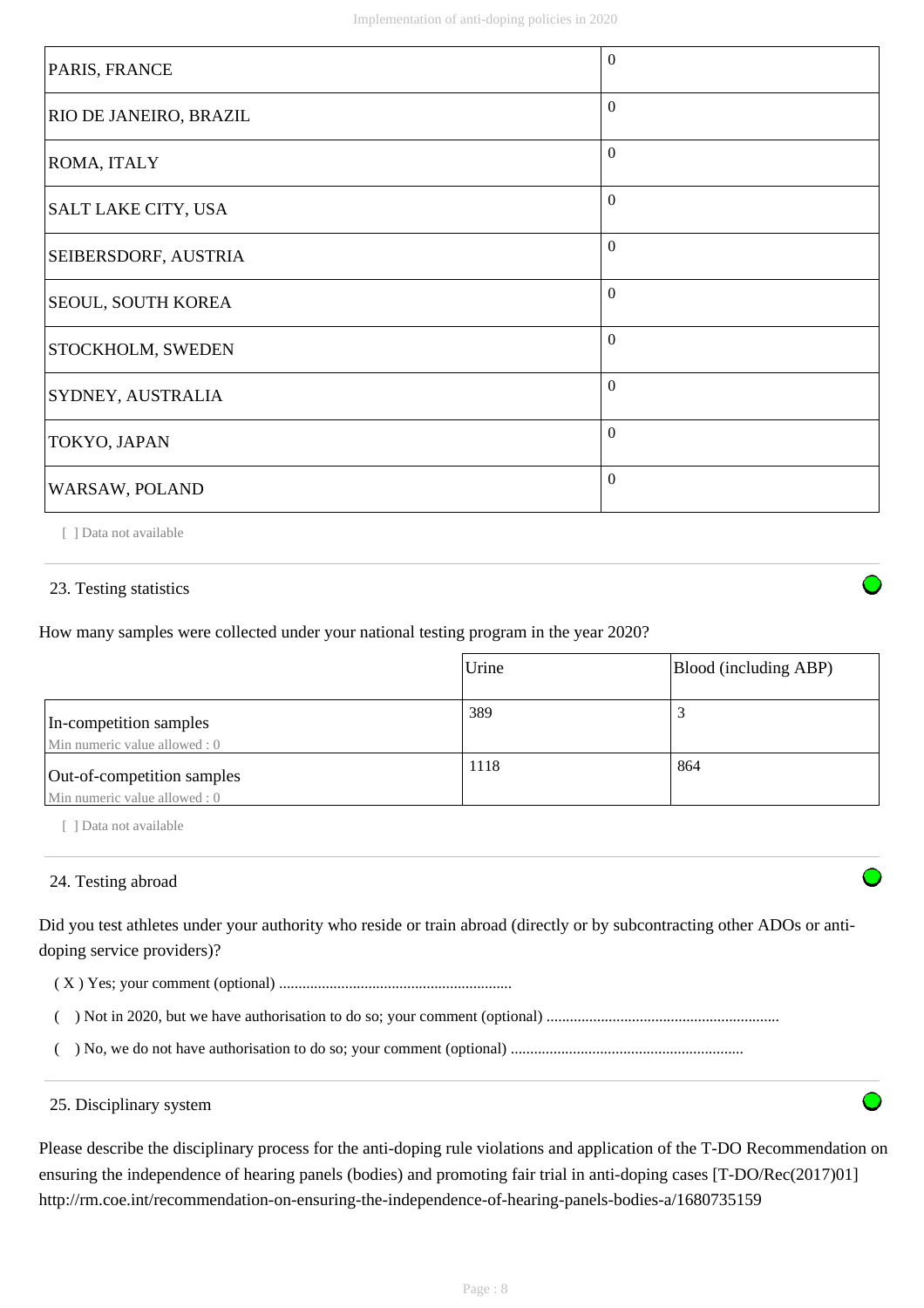| PARIS, FRANCE                 | $\Omega$ |
|-------------------------------|----------|
| <b>RIO DE JANEIRO, BRAZIL</b> | $\Omega$ |
| ROMA, ITALY                   | $\Omega$ |
| SALT LAKE CITY, USA           | $\Omega$ |
| <b>SEIBERSDORF, AUSTRIA</b>   | $\Omega$ |
| <b>SEOUL, SOUTH KOREA</b>     | $\theta$ |
| <b>STOCKHOLM, SWEDEN</b>      | $\theta$ |
| <b>SYDNEY, AUSTRALIA</b>      | $\Omega$ |
| TOKYO, JAPAN                  | $\Omega$ |
| WARSAW, POLAND                | $\theta$ |

[ ] Data not available

## 23. Testing statistics

How many samples were collected under your national testing program in the year 2020?

|                                                             | Urine | Blood (including ABP) |
|-------------------------------------------------------------|-------|-----------------------|
| In-competition samples<br>Min numeric value allowed : 0     | 389   |                       |
| Out-of-competition samples<br>Min numeric value allowed : 0 | 1118  | 864                   |

[ ] Data not available

## 24. Testing abroad

Did you test athletes under your authority who reside or train abroad (directly or by subcontracting other ADOs or antidoping service providers)?

( X ) Yes; your comment (optional) ............................................................

( ) Not in 2020, but we have authorisation to do so; your comment (optional) ............................................................

( ) No, we do not have authorisation to do so; your comment (optional) ............................................................

#### 25. Disciplinary system

Please describe the disciplinary process for the anti-doping rule violations and application of the T-DO Recommendation on ensuring the independence of hearing panels (bodies) and promoting fair trial in anti-doping cases [T-DO/Rec(2017)01] http://rm.coe.int/recommendation-on-ensuring-the-independence-of-hearing-panels-bodies-a/1680735159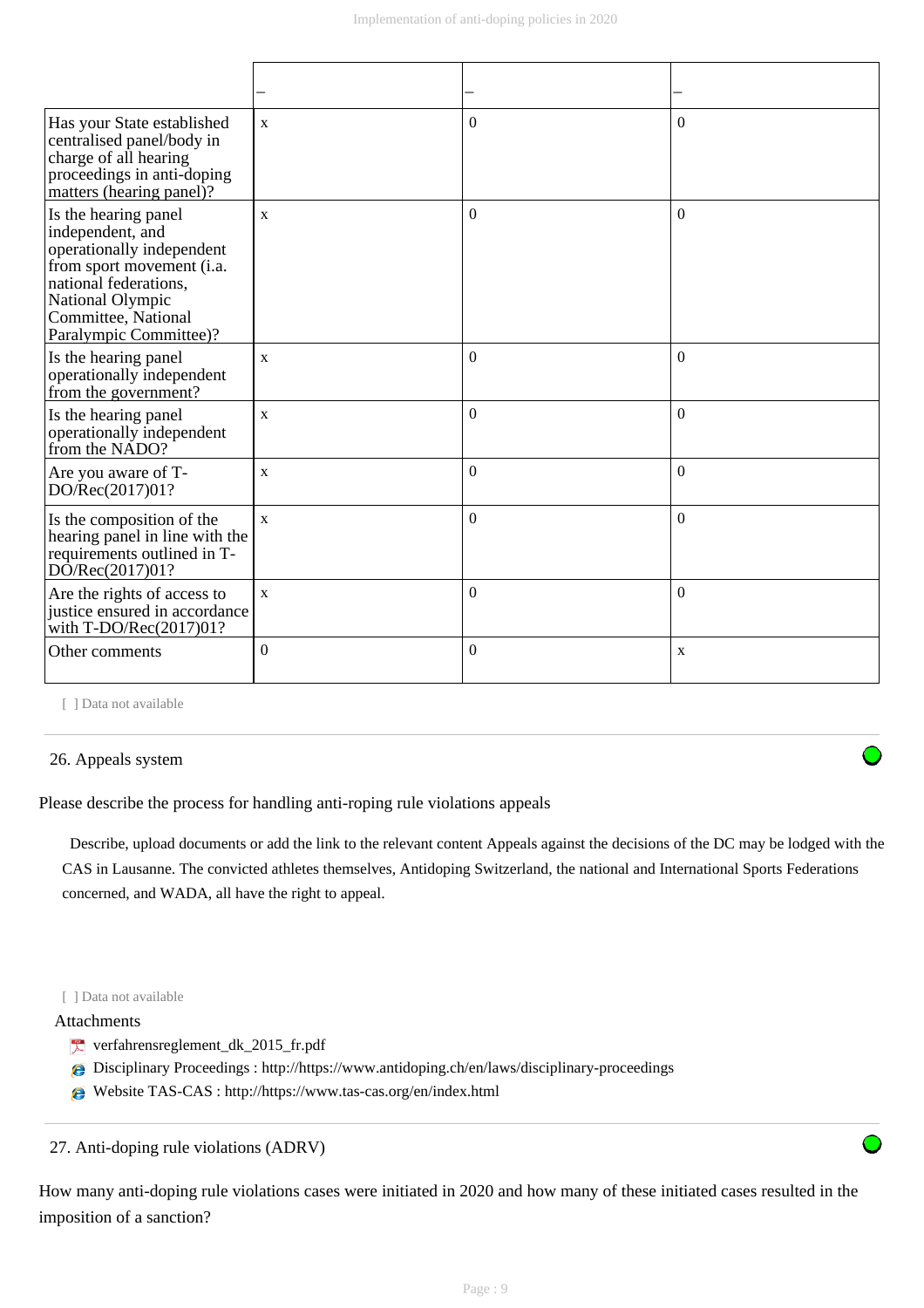| Has your State established<br>centralised panel/body in<br>charge of all hearing<br>proceedings in anti-doping<br>matters (hearing panel)?                                                       | $\mathbf{X}$ | $\Omega$         | $\Omega$     |
|--------------------------------------------------------------------------------------------------------------------------------------------------------------------------------------------------|--------------|------------------|--------------|
| Is the hearing panel<br>independent, and<br>operationally independent<br>from sport movement (i.a.<br>national federations,<br>National Olympic<br>Committee, National<br>Paralympic Committee)? | $\mathbf{X}$ | $\Omega$         | $\theta$     |
| Is the hearing panel<br>operationally independent<br>from the government?                                                                                                                        | $\mathbf{X}$ | $\Omega$         | $\Omega$     |
| Is the hearing panel<br>operationally independent<br>from the NADO?                                                                                                                              | $\mathbf{x}$ | $\Omega$         | $\Omega$     |
| Are you aware of T-<br>DO/Rec(2017)01?                                                                                                                                                           | $\mathbf{X}$ | $\mathbf{0}$     | $\mathbf{0}$ |
| Is the composition of the<br>hearing panel in line with the<br>requirements outlined in T-<br>DO/Rec(2017)01?                                                                                    | $\mathbf{X}$ | $\Omega$         | $\theta$     |
| Are the rights of access to<br>justice ensured in accordance<br>with T-DO/Rec(2017)01?                                                                                                           | $\mathbf X$  | $\boldsymbol{0}$ | $\mathbf{0}$ |
| Other comments                                                                                                                                                                                   | $\Omega$     | $\mathbf{0}$     | X            |

[ ] Data not available

#### 26. Appeals system

Please describe the process for handling anti-roping rule violations appeals

 Describe, upload documents or add the link to the relevant content Appeals against the decisions of the DC may be lodged with the CAS in Lausanne. The convicted athletes themselves, Antidoping Switzerland, the national and International Sports Federations concerned, and WADA, all have the right to appeal.

#### [ ] Data not available

## Attachments

- verfahrensreglement\_dk\_2015\_fr.pdf
- Disciplinary Proceedings : http://https://www.antidoping.ch/en/laws/disciplinary-proceedings
- Website TAS-CAS : http://https://www.tas-cas.org/en/index.html

27. Anti-doping rule violations (ADRV)

How many anti-doping rule violations cases were initiated in 2020 and how many of these initiated cases resulted in the imposition of a sanction?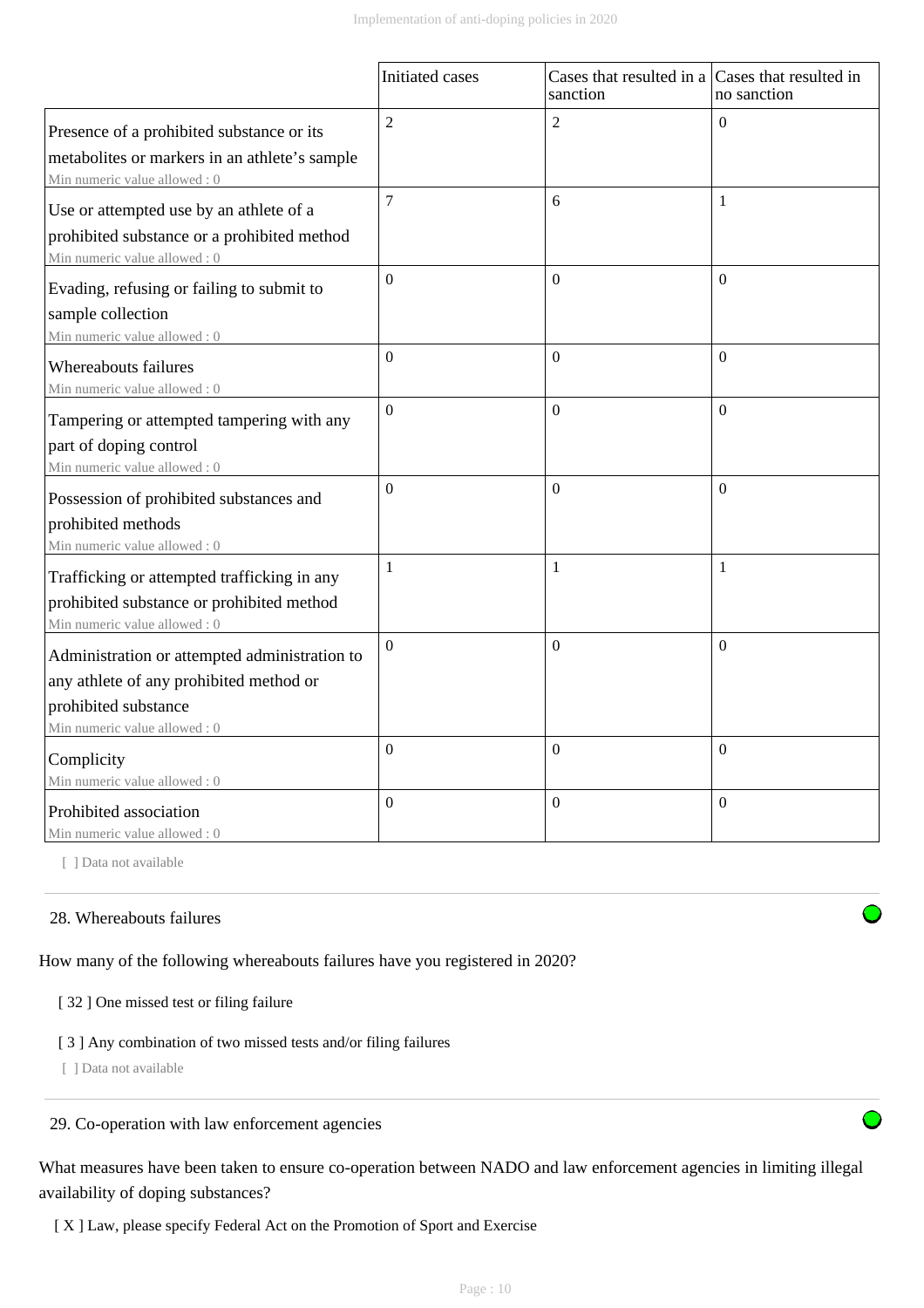|                                                                                                                                                  | Initiated cases  | Cases that resulted in a Cases that resulted in<br>sanction | no sanction  |
|--------------------------------------------------------------------------------------------------------------------------------------------------|------------------|-------------------------------------------------------------|--------------|
| Presence of a prohibited substance or its<br>metabolites or markers in an athlete's sample<br>Min numeric value allowed: 0                       | $\overline{c}$   | $\overline{2}$                                              | $\theta$     |
| Use or attempted use by an athlete of a<br>prohibited substance or a prohibited method<br>Min numeric value allowed: 0                           | 7                | 6                                                           | $\mathbf{1}$ |
| Evading, refusing or failing to submit to<br>sample collection<br>Min numeric value allowed: 0                                                   | $\boldsymbol{0}$ | $\Omega$                                                    | $\Omega$     |
| Whereabouts failures<br>Min numeric value allowed: 0                                                                                             | $\theta$         | $\Omega$                                                    | $\theta$     |
| Tampering or attempted tampering with any<br>part of doping control<br>Min numeric value allowed: 0                                              | $\overline{0}$   | $\boldsymbol{0}$                                            | $\mathbf{0}$ |
| Possession of prohibited substances and<br>prohibited methods<br>Min numeric value allowed: 0                                                    | $\theta$         | $\Omega$                                                    | $\theta$     |
| Trafficking or attempted trafficking in any<br>prohibited substance or prohibited method<br>Min numeric value allowed: 0                         | $\mathbf{1}$     | 1                                                           | 1            |
| Administration or attempted administration to<br>any athlete of any prohibited method or<br>prohibited substance<br>Min numeric value allowed: 0 | $\Omega$         | $\Omega$                                                    | $\theta$     |
| Complicity<br>Min numeric value allowed: 0                                                                                                       | $\boldsymbol{0}$ | $\mathbf{0}$                                                | $\mathbf{0}$ |
| Prohibited association<br>Min numeric value allowed: 0                                                                                           | $\Omega$         | $\boldsymbol{0}$                                            | $\mathbf{0}$ |

[ ] Data not available

## 28. Whereabouts failures

How many of the following whereabouts failures have you registered in 2020?

#### [ 32 ] One missed test or filing failure

#### [ 3 ] Any combination of two missed tests and/or filing failures

[ ] Data not available

#### 29. Co-operation with law enforcement agencies

What measures have been taken to ensure co-operation between NADO and law enforcement agencies in limiting illegal availability of doping substances?

[ X ] Law, please specify Federal Act on the Promotion of Sport and Exercise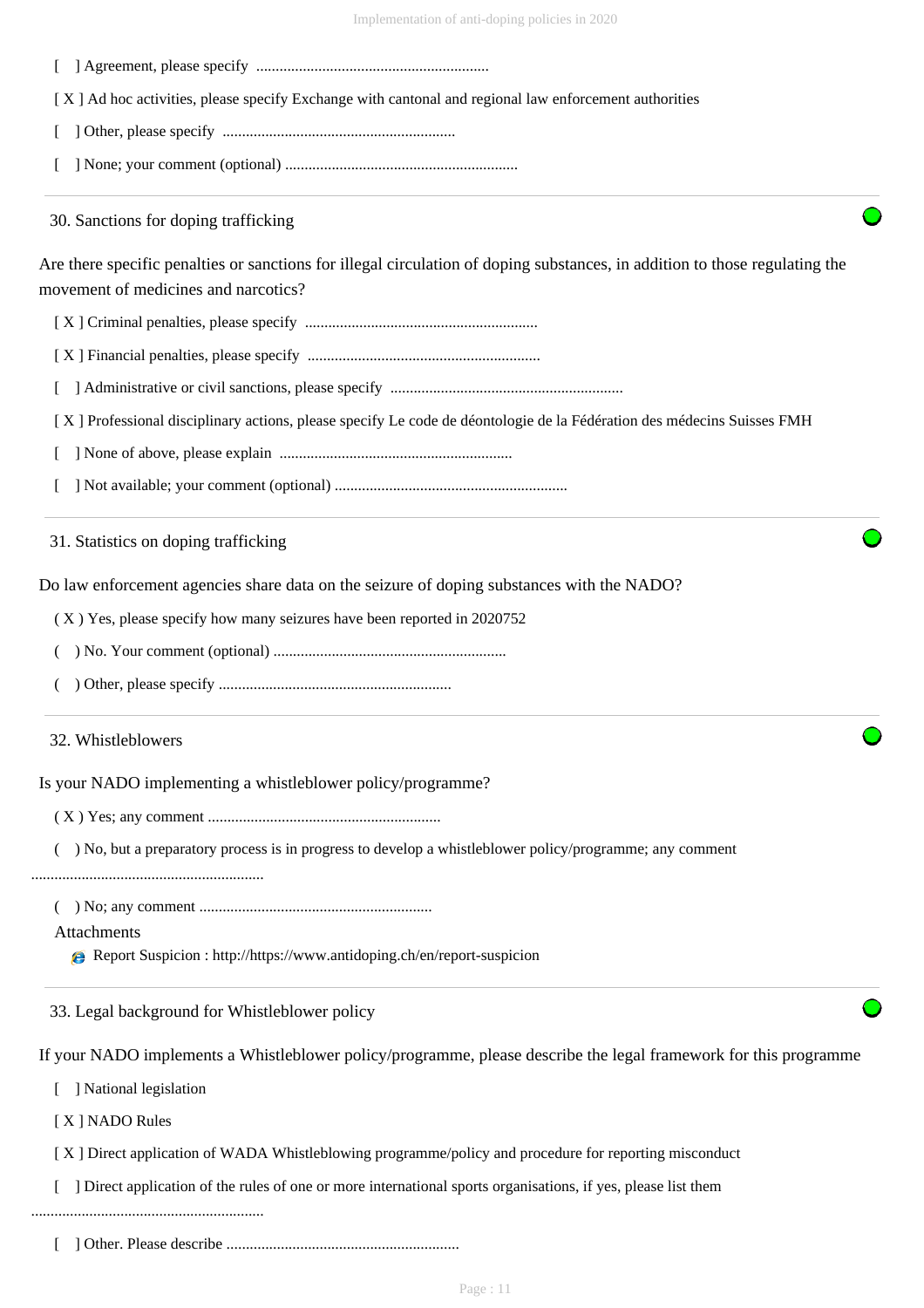| Implementation of anti-doping policies in 2020 |  |  |  |
|------------------------------------------------|--|--|--|
|                                                |  |  |  |

[ ] Agreement, please specify ............................................................

[ X ] Ad hoc activities, please specify Exchange with cantonal and regional law enforcement authorities

[ ] Other, please specify ............................................................

[ ] None; your comment (optional) ............................................................

30. Sanctions for doping trafficking

Are there specific penalties or sanctions for illegal circulation of doping substances, in addition to those regulating the movement of medicines and narcotics?

[ X ] Criminal penalties, please specify ............................................................

[ X ] Financial penalties, please specify ............................................................

[ ] Administrative or civil sanctions, please specify ............................................................

[ X ] Professional disciplinary actions, please specify Le code de déontologie de la Fédération des médecins Suisses FMH

[ ] None of above, please explain ............................................................

[ ] Not available; your comment (optional) ............................................................

31. Statistics on doping trafficking

Do law enforcement agencies share data on the seizure of doping substances with the NADO?

( X ) Yes, please specify how many seizures have been reported in 2020752

( ) No. Your comment (optional) ............................................................

( ) Other, please specify ............................................................

#### 32. Whistleblowers

Is your NADO implementing a whistleblower policy/programme?

( X ) Yes; any comment ............................................................

( ) No, but a preparatory process is in progress to develop a whistleblower policy/programme; any comment

............................................................

( ) No; any comment ............................................................

Attachments

Report Suspicion : http://https://www.antidoping.ch/en/report-suspicion

33. Legal background for Whistleblower policy

If your NADO implements a Whistleblower policy/programme, please describe the legal framework for this programme

[ ] National legislation

[ X ] NADO Rules

[ X ] Direct application of WADA Whistleblowing programme/policy and procedure for reporting misconduct

[ ] Direct application of the rules of one or more international sports organisations, if yes, please list them

............................................................

[ ] Other. Please describe ............................................................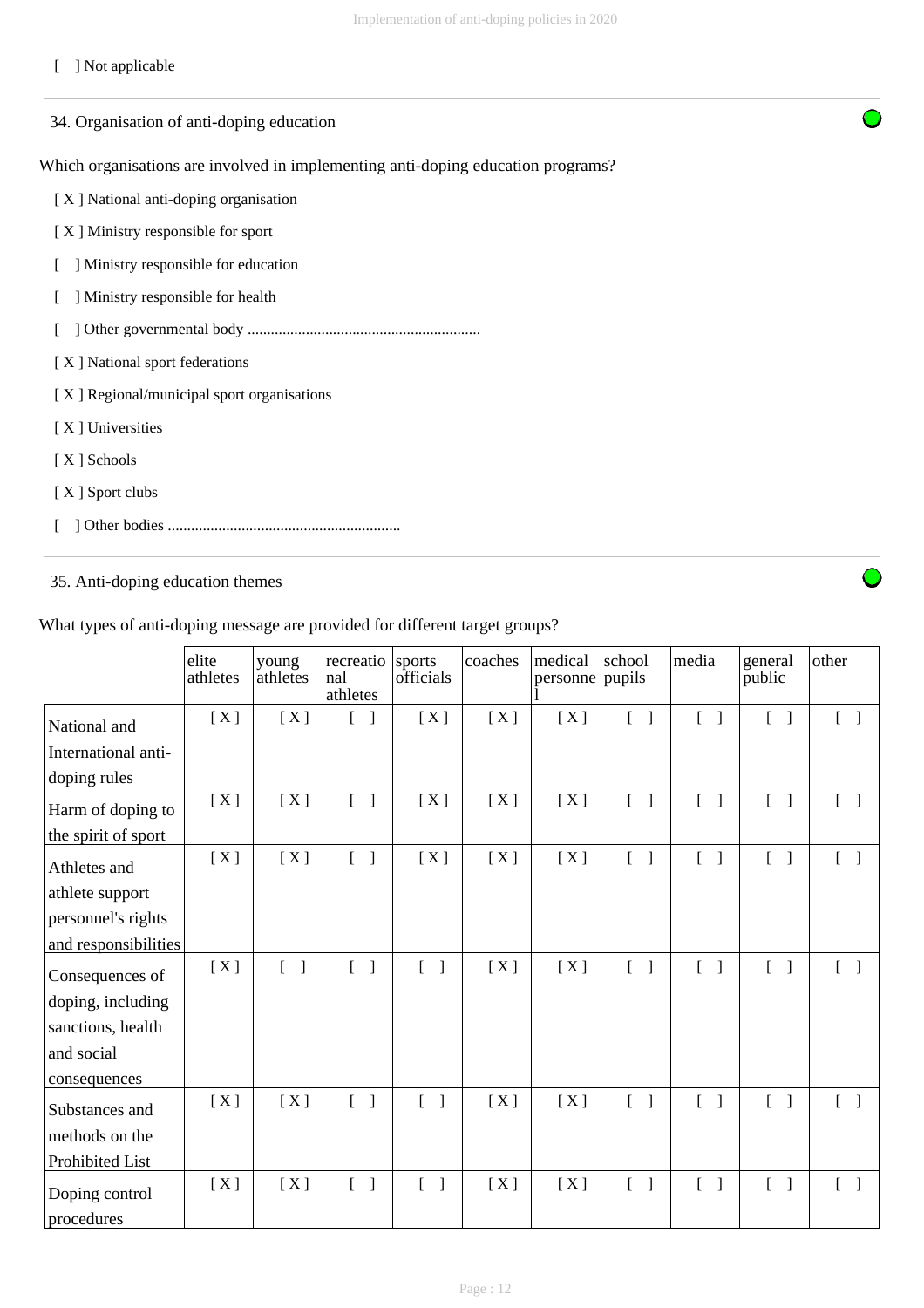## [ ] Not applicable

| 34. Organisation of anti-doping education                                        |
|----------------------------------------------------------------------------------|
| Which organisations are involved in implementing anti-doping education programs? |
| [X] National anti-doping organisation                                            |
| [X] Ministry responsible for sport                                               |
| Ministry responsible for education                                               |
| Ministry responsible for health                                                  |
|                                                                                  |
| [X] National sport federations                                                   |
| [X] Regional/municipal sport organisations                                       |
| [X] Universities                                                                 |
| [X ] Schools                                                                     |
| [X] Sport clubs                                                                  |
|                                                                                  |

## 35. Anti-doping education themes

 $\overline{ }$ 

|                              | elite<br>athletes | young<br>athletes                 | recreatio sports<br>nal<br>athletes | officials          | coaches | medical<br>personne pupils | school                            | media                                    | general<br>public                 | other                             |
|------------------------------|-------------------|-----------------------------------|-------------------------------------|--------------------|---------|----------------------------|-----------------------------------|------------------------------------------|-----------------------------------|-----------------------------------|
| National and                 | [X]               | [X]                               |                                     | [X]                | [X]     | [X]                        | $\begin{bmatrix} 1 \end{bmatrix}$ | $\mathbb{R}$                             | $\lceil \; \rceil$                | L                                 |
| International anti-          |                   |                                   |                                     |                    |         |                            |                                   |                                          |                                   |                                   |
| doping rules                 |                   |                                   |                                     |                    |         |                            |                                   |                                          |                                   |                                   |
| Harm of doping to            | [X]               | [X]                               | $\begin{bmatrix} 1 \end{bmatrix}$   | [X]                | [X]     | [X]                        | $\begin{bmatrix} 1 \end{bmatrix}$ | $[\ ]$                                   | $[ \ ]$                           | $\lceil$ $\rceil$                 |
| the spirit of sport          |                   |                                   |                                     |                    |         |                            |                                   |                                          |                                   |                                   |
| Athletes and                 | [X]               | [X]                               | $\begin{bmatrix} 1 \end{bmatrix}$   | [X]                | [X]     | [X]                        | $\begin{bmatrix} 1 \end{bmatrix}$ | $\mathbf{L}$<br>$\overline{\phantom{a}}$ | $\begin{bmatrix} 1 \end{bmatrix}$ | $[ \ ]$                           |
| athlete support              |                   |                                   |                                     |                    |         |                            |                                   |                                          |                                   |                                   |
| personnel's rights           |                   |                                   |                                     |                    |         |                            |                                   |                                          |                                   |                                   |
| and responsibilities         |                   |                                   |                                     |                    |         |                            |                                   |                                          |                                   |                                   |
| Consequences of              | [X]               | $\begin{bmatrix} 1 \end{bmatrix}$ | $\begin{bmatrix} 1 \end{bmatrix}$   | $\lceil \; \rceil$ | [X]     | [X]                        | $[ \ ]$                           | $\mathbf{r}$<br>$\overline{\phantom{a}}$ | $\lceil \; \rceil$                | $\begin{bmatrix} 1 \end{bmatrix}$ |
| doping, including            |                   |                                   |                                     |                    |         |                            |                                   |                                          |                                   |                                   |
| sanctions, health            |                   |                                   |                                     |                    |         |                            |                                   |                                          |                                   |                                   |
| and social                   |                   |                                   |                                     |                    |         |                            |                                   |                                          |                                   |                                   |
| consequences                 |                   |                                   |                                     |                    |         |                            |                                   |                                          |                                   |                                   |
| Substances and               | [X]               | [X]                               | $\begin{bmatrix} 1 \end{bmatrix}$   | $\lceil \; \rceil$ | [X]     | [X]                        | $\begin{bmatrix} 1 \end{bmatrix}$ | $[ \ ]$                                  | $\lceil \rceil$                   | $\begin{bmatrix} 1 \end{bmatrix}$ |
| methods on the               |                   |                                   |                                     |                    |         |                            |                                   |                                          |                                   |                                   |
| Prohibited List              |                   |                                   |                                     |                    |         |                            |                                   |                                          |                                   |                                   |
| Doping control<br>procedures | [X]               | [X]                               | $\begin{bmatrix} 1 \end{bmatrix}$   | $[\ ]$             | [X]     | [X]                        | $\begin{bmatrix} 1 \end{bmatrix}$ | $\begin{bmatrix} 1 \end{bmatrix}$        | $\begin{bmatrix} 1 \end{bmatrix}$ | $\begin{bmatrix} 1 \end{bmatrix}$ |

What types of anti-doping message are provided for different target groups?

Page : 12

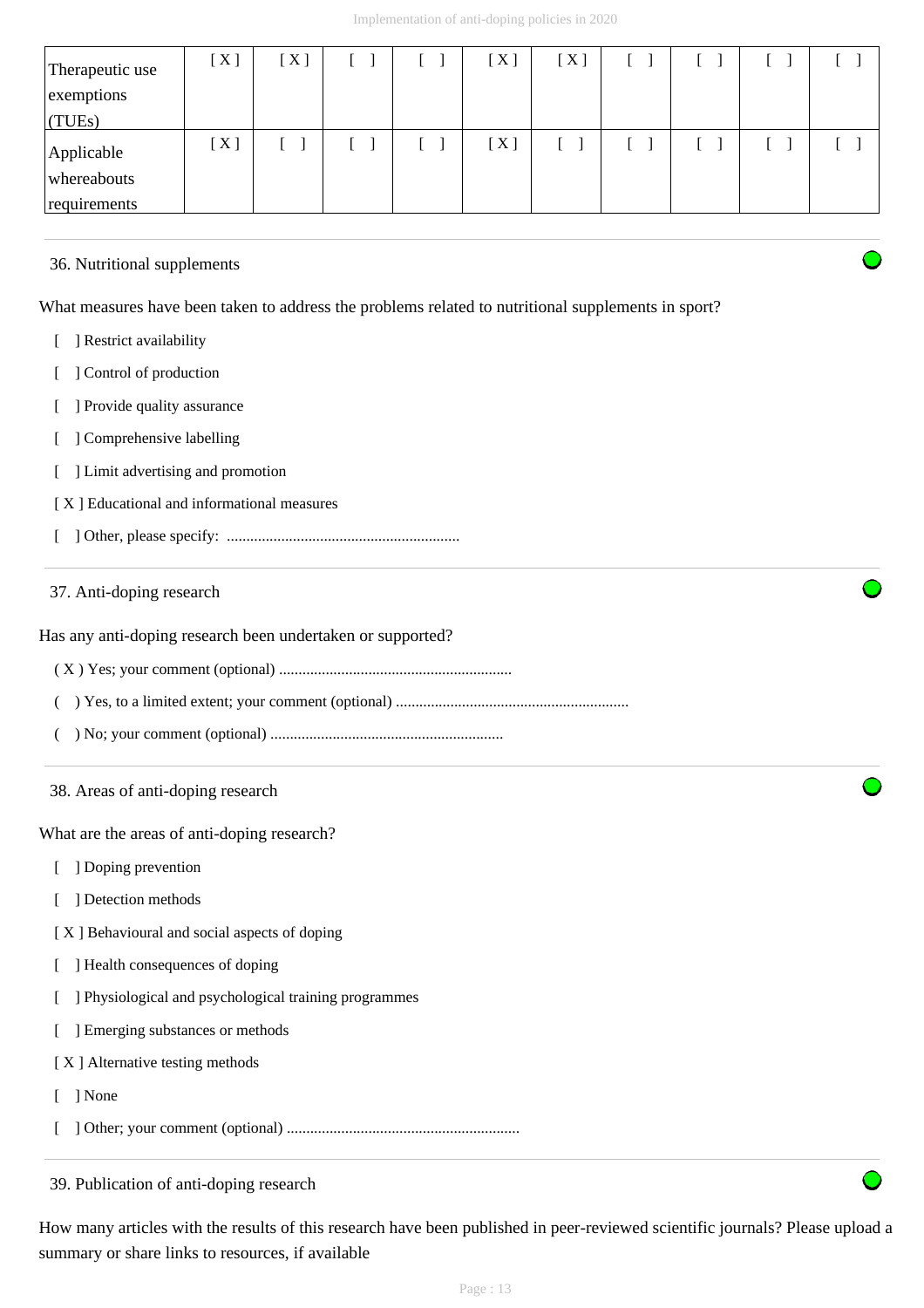| Therapeutic use<br>exemptions<br>$\vert$ (TUEs) | [X] | [X] |  | [X] | [X] |  |  |
|-------------------------------------------------|-----|-----|--|-----|-----|--|--|
| Applicable<br>whereabouts<br>requirements       | [X] |     |  | [X] |     |  |  |

## 36. Nutritional supplements

What measures have been taken to address the problems related to nutritional supplements in sport?

- [ ] Restrict availability
- [ ] Control of production
- [ ] Provide quality assurance
- [ ] Comprehensive labelling
- [ ] Limit advertising and promotion
- [ X ] Educational and informational measures
- [ ] Other, please specify: ............................................................

## 37. Anti-doping research

Has any anti-doping research been undertaken or supported?

- ( X ) Yes; your comment (optional) ............................................................
- ( ) Yes, to a limited extent; your comment (optional) ............................................................
- ( ) No; your comment (optional) ............................................................
- 38. Areas of anti-doping research

What are the areas of anti-doping research?

- [ ] Doping prevention
- [ ] Detection methods
- [ X ] Behavioural and social aspects of doping
- [ ] Health consequences of doping
- [ ] Physiological and psychological training programmes
- [ ] Emerging substances or methods
- [ X ] Alternative testing methods
- [ ] None
- [ ] Other; your comment (optional) ............................................................

39. Publication of anti-doping research

How many articles with the results of this research have been published in peer-reviewed scientific journals? Please upload a summary or share links to resources, if available